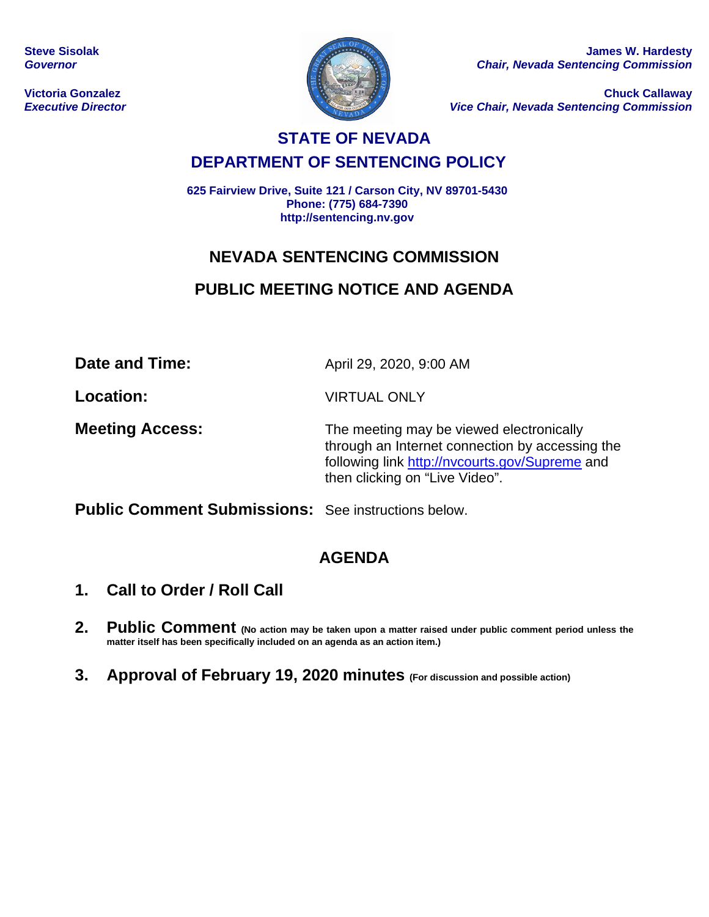**Steve Sisolak** *Governor*

**Victoria Gonzalez** *Executive Director*



**James W. Hardesty** *Chair, Nevada Sentencing Commission*

**Chuck Callaway** *Vice Chair, Nevada Sentencing Commission*

# **STATE OF NEVADA DEPARTMENT OF SENTENCING POLICY**

**625 Fairview Drive, Suite 121 / Carson City, NV 89701-5430 Phone: (775) 684-7390 http://sentencing.nv.gov**

# **NEVADA SENTENCING COMMISSION**

# **PUBLIC MEETING NOTICE AND AGENDA**

**Date and Time:** April 29, 2020, 9:00 AM

**Location:** VIRTUAL ONLY

**Meeting Access:** The meeting may be viewed electronically through an Internet connection by accessing the following link<http://nvcourts.gov/Supreme> and then clicking on "Live Video".

**Public Comment Submissions:** See instructions below.

# **AGENDA**

- **1. Call to Order / Roll Call**
- **2. Public Comment (No action may be taken upon a matter raised under public comment period unless the matter itself has been specifically included on an agenda as an action item.)**
- **3. Approval of February 19, 2020 minutes (For discussion and possible action)**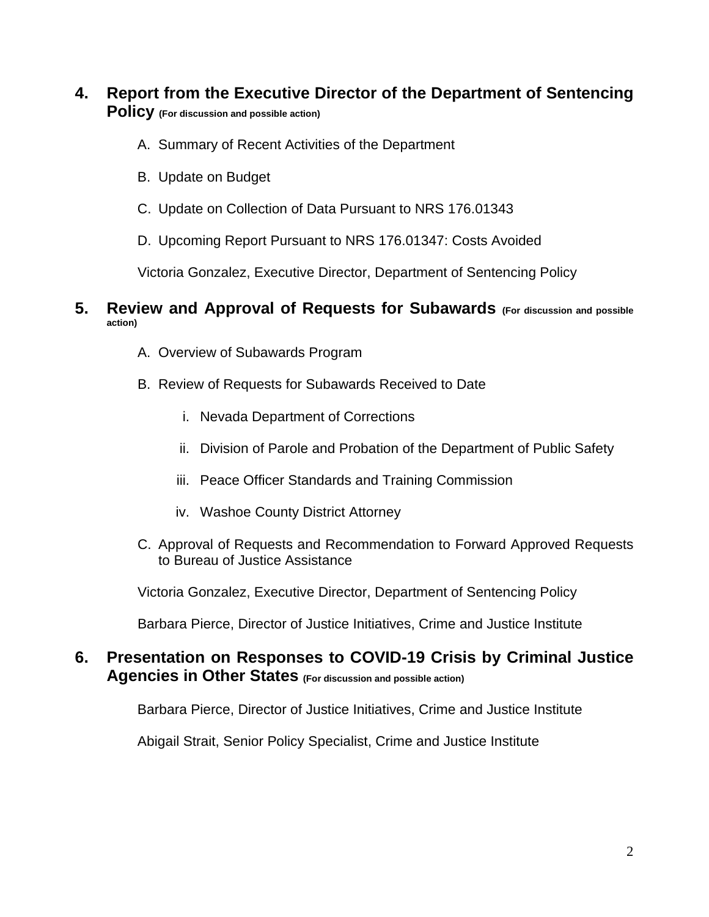## **4. Report from the Executive Director of the Department of Sentencing Policy (For discussion and possible action)**

- A. Summary of Recent Activities of the Department
- B. Update on Budget
- C. Update on Collection of Data Pursuant to NRS 176.01343
- D. Upcoming Report Pursuant to NRS 176.01347: Costs Avoided

Victoria Gonzalez, Executive Director, Department of Sentencing Policy

## **5. Review and Approval of Requests for Subawards (For discussion and possible action)**

- A. Overview of Subawards Program
- B. Review of Requests for Subawards Received to Date
	- i. Nevada Department of Corrections
	- ii. Division of Parole and Probation of the Department of Public Safety
	- iii. Peace Officer Standards and Training Commission
	- iv. Washoe County District Attorney
- C. Approval of Requests and Recommendation to Forward Approved Requests to Bureau of Justice Assistance

Victoria Gonzalez, Executive Director, Department of Sentencing Policy

Barbara Pierce, Director of Justice Initiatives, Crime and Justice Institute

## **6. Presentation on Responses to COVID-19 Crisis by Criminal Justice Agencies in Other States (For discussion and possible action)**

Barbara Pierce, Director of Justice Initiatives, Crime and Justice Institute

Abigail Strait, Senior Policy Specialist, Crime and Justice Institute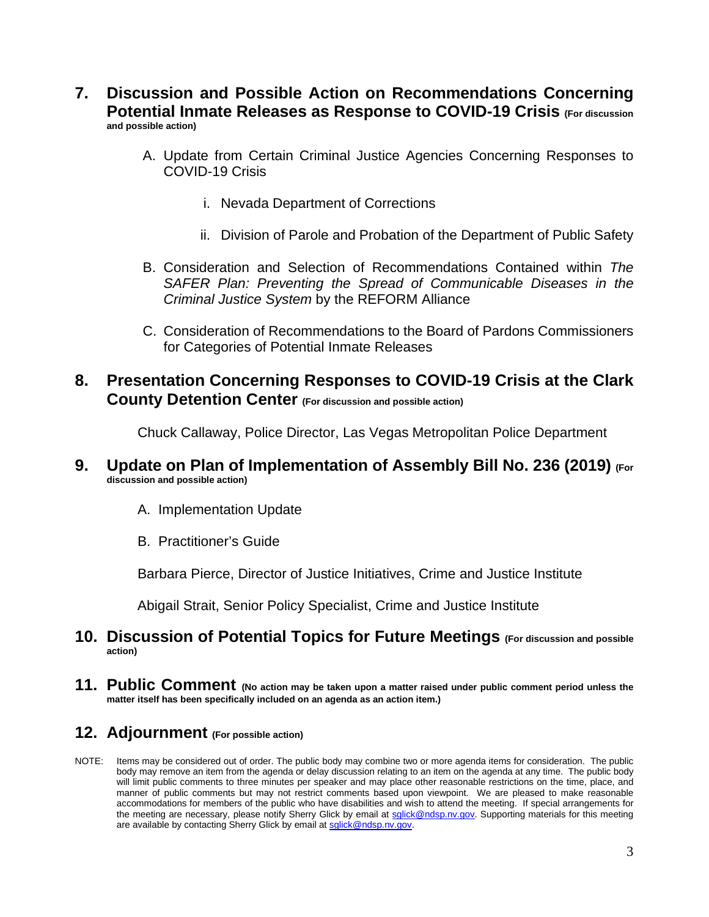- **7. Discussion and Possible Action on Recommendations Concerning Potential Inmate Releases as Response to COVID-19 Crisis (For discussion and possible action)**
	- A. Update from Certain Criminal Justice Agencies Concerning Responses to COVID-19 Crisis
		- i. Nevada Department of Corrections
		- ii. Division of Parole and Probation of the Department of Public Safety
	- B. Consideration and Selection of Recommendations Contained within *The SAFER Plan: Preventing the Spread of Communicable Diseases in the Criminal Justice System* by the REFORM Alliance
	- C. Consideration of Recommendations to the Board of Pardons Commissioners for Categories of Potential Inmate Releases
- **8. Presentation Concerning Responses to COVID-19 Crisis at the Clark County Detention Center (For discussion and possible action)**

Chuck Callaway, Police Director, Las Vegas Metropolitan Police Department

#### **9. Update on Plan of Implementation of Assembly Bill No. 236 (2019) (For discussion and possible action)**

- A. Implementation Update
- B. Practitioner's Guide

Barbara Pierce, Director of Justice Initiatives, Crime and Justice Institute

Abigail Strait, Senior Policy Specialist, Crime and Justice Institute

#### **10. Discussion of Potential Topics for Future Meetings (For discussion and possible action)**

**11. Public Comment (No action may be taken upon a matter raised under public comment period unless the matter itself has been specifically included on an agenda as an action item.)**

## **12. Adjournment (For possible action)**

NOTE: Items may be considered out of order. The public body may combine two or more agenda items for consideration. The public body may remove an item from the agenda or delay discussion relating to an item on the agenda at any time. The public body will limit public comments to three minutes per speaker and may place other reasonable restrictions on the time, place, and manner of public comments but may not restrict comments based upon viewpoint. We are pleased to make reasonable accommodations for members of the public who have disabilities and wish to attend the meeting. If special arrangements for the meeting are necessary, please notify Sherry Glick by email a[t sglick@ndsp.nv.gov.](mailto:sglick@ndsp.nv.gov) Supporting materials for this meeting are available by contacting Sherry Glick by email a[t sglick@ndsp.nv.gov.](mailto:sglick@ndsp.nv.gov)